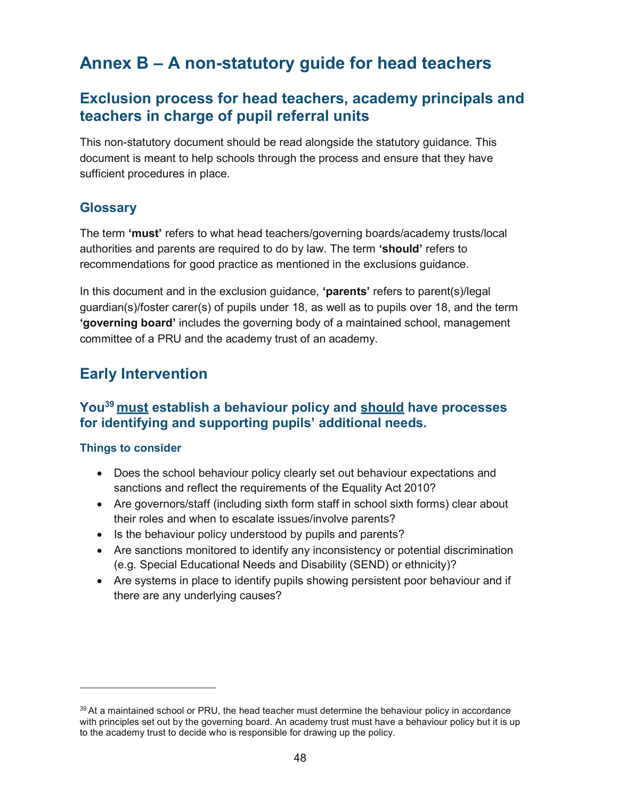# Annex B – A non-statutory guide for head teachers

## Exclusion process for head teachers, academy principals and teachers in charge of pupil referral units

This non-statutory document should be read alongside the statutory guidance. This document is meant to help schools through the process and ensure that they have sufficient procedures in place.

## **Glossary**

The term 'must' refers to what head teachers/governing boards/academy trusts/local authorities and parents are required to do by law. The term 'should' refers to recommendations for good practice as mentioned in the exclusions guidance.

In this document and in the exclusion guidance, 'parents' refers to parent(s)/legal guardian(s)/foster carer(s) of pupils under 18, as well as to pupils over 18, and the term 'governing board' includes the governing body of a maintained school, management committee of a PRU and the academy trust of an academy.

## Early Intervention

## You<sup>39</sup> must establish a behaviour policy and should have processes for identifying and supporting pupils' additional needs.

- Does the school behaviour policy clearly set out behaviour expectations and sanctions and reflect the requirements of the Equality Act 2010?
- Are governors/staff (including sixth form staff in school sixth forms) clear about their roles and when to escalate issues/involve parents?
- Is the behaviour policy understood by pupils and parents?
- Are sanctions monitored to identify any inconsistency or potential discrimination (e.g. Special Educational Needs and Disability (SEND) or ethnicity)?
- Are systems in place to identify pupils showing persistent poor behaviour and if there are any underlying causes?

 $39$  At a maintained school or PRU, the head teacher must determine the behaviour policy in accordance with principles set out by the governing board. An academy trust must have a behaviour policy but it is up to the academy trust to decide who is responsible for drawing up the policy.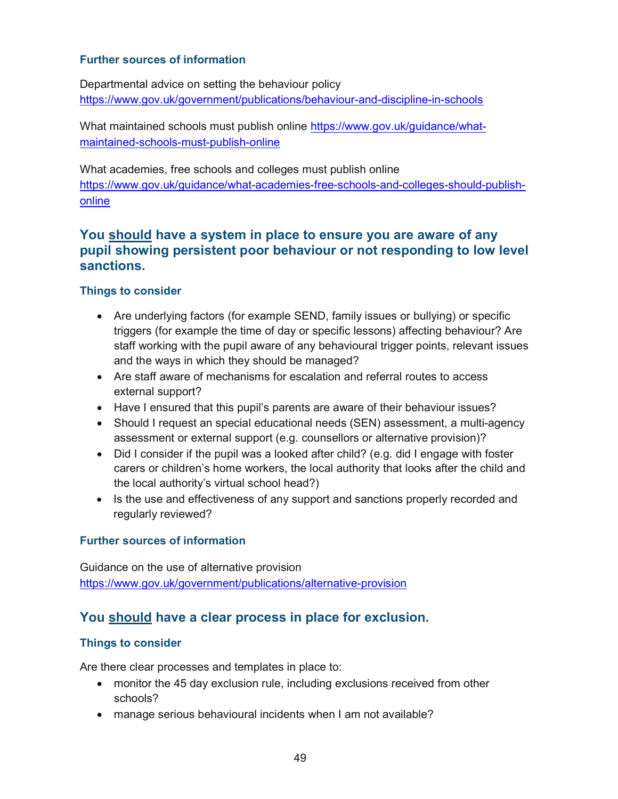#### Further sources of information

Departmental advice on setting the behaviour policy https://www.gov.uk/government/publications/behaviour-and-discipline-in-schools

What maintained schools must publish online https://www.gov.uk/guidance/whatmaintained-schools-must-publish-online

What academies, free schools and colleges must publish online https://www.gov.uk/guidance/what-academies-free-schools-and-colleges-should-publishonline

### You should have a system in place to ensure you are aware of any pupil showing persistent poor behaviour or not responding to low level sanctions.

#### Things to consider

- Are underlying factors (for example SEND, family issues or bullying) or specific triggers (for example the time of day or specific lessons) affecting behaviour? Are staff working with the pupil aware of any behavioural trigger points, relevant issues and the ways in which they should be managed?
- Are staff aware of mechanisms for escalation and referral routes to access external support?
- Have I ensured that this pupil's parents are aware of their behaviour issues?
- Should I request an special educational needs (SEN) assessment, a multi-agency assessment or external support (e.g. counsellors or alternative provision)?
- Did I consider if the pupil was a looked after child? (e.g. did I engage with foster carers or children's home workers, the local authority that looks after the child and the local authority's virtual school head?)
- Is the use and effectiveness of any support and sanctions properly recorded and regularly reviewed?

#### Further sources of information

Guidance on the use of alternative provision https://www.gov.uk/government/publications/alternative-provision

## You should have a clear process in place for exclusion.

#### Things to consider

Are there clear processes and templates in place to:

- monitor the 45 day exclusion rule, including exclusions received from other schools?
- manage serious behavioural incidents when I am not available?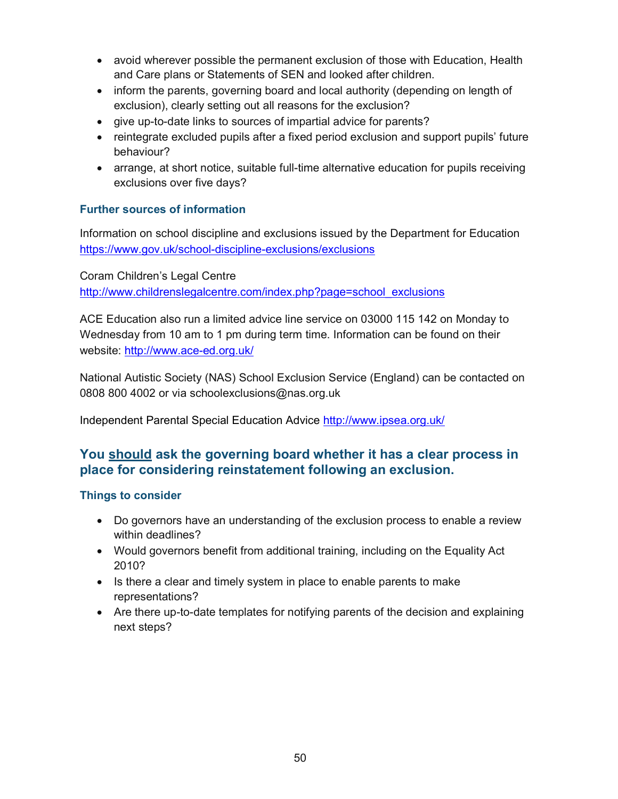- avoid wherever possible the permanent exclusion of those with Education, Health and Care plans or Statements of SEN and looked after children.
- inform the parents, governing board and local authority (depending on length of exclusion), clearly setting out all reasons for the exclusion?
- give up-to-date links to sources of impartial advice for parents?
- reintegrate excluded pupils after a fixed period exclusion and support pupils' future behaviour?
- arrange, at short notice, suitable full-time alternative education for pupils receiving exclusions over five days?

### Further sources of information

Information on school discipline and exclusions issued by the Department for Education https://www.gov.uk/school-discipline-exclusions/exclusions

Coram Children's Legal Centre http://www.childrenslegalcentre.com/index.php?page=school\_exclusions

ACE Education also run a limited advice line service on 03000 115 142 on Monday to Wednesday from 10 am to 1 pm during term time. Information can be found on their website: http://www.ace-ed.org.uk/

National Autistic Society (NAS) School Exclusion Service (England) can be contacted on 0808 800 4002 or via schoolexclusions@nas.org.uk

Independent Parental Special Education Advice http://www.ipsea.org.uk/

## You should ask the governing board whether it has a clear process in place for considering reinstatement following an exclusion.

- Do governors have an understanding of the exclusion process to enable a review within deadlines?
- Would governors benefit from additional training, including on the Equality Act 2010?
- Is there a clear and timely system in place to enable parents to make representations?
- Are there up-to-date templates for notifying parents of the decision and explaining next steps?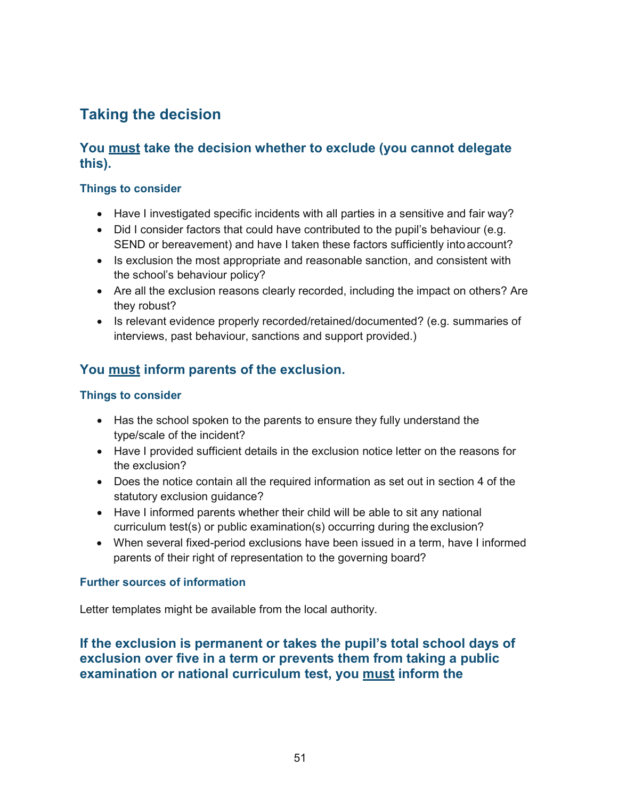# Taking the decision

## You must take the decision whether to exclude (you cannot delegate this).

#### Things to consider

- Have I investigated specific incidents with all parties in a sensitive and fair way?
- Did I consider factors that could have contributed to the pupil's behaviour (e.g. SEND or bereavement) and have I taken these factors sufficiently into account?
- Is exclusion the most appropriate and reasonable sanction, and consistent with the school's behaviour policy?
- Are all the exclusion reasons clearly recorded, including the impact on others? Are they robust?
- Is relevant evidence properly recorded/retained/documented? (e.g. summaries of interviews, past behaviour, sanctions and support provided.)

## You must inform parents of the exclusion.

#### Things to consider

- Has the school spoken to the parents to ensure they fully understand the type/scale of the incident?
- Have I provided sufficient details in the exclusion notice letter on the reasons for the exclusion?
- Does the notice contain all the required information as set out in section 4 of the statutory exclusion guidance?
- Have I informed parents whether their child will be able to sit any national curriculum test(s) or public examination(s) occurring during the exclusion?
- When several fixed-period exclusions have been issued in a term, have I informed parents of their right of representation to the governing board?

#### Further sources of information

Letter templates might be available from the local authority.

## If the exclusion is permanent or takes the pupil's total school days of exclusion over five in a term or prevents them from taking a public examination or national curriculum test, you must inform the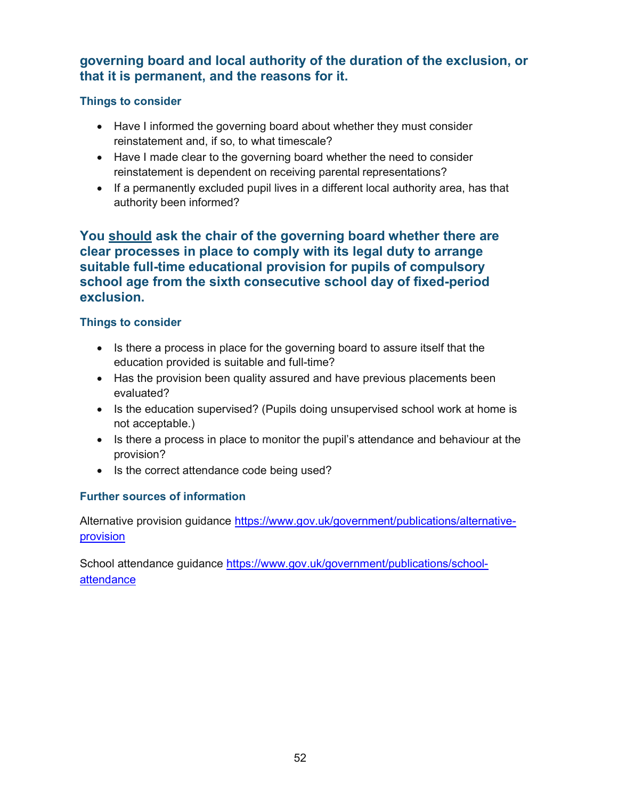## governing board and local authority of the duration of the exclusion, or that it is permanent, and the reasons for it.

#### Things to consider

- Have I informed the governing board about whether they must consider reinstatement and, if so, to what timescale?
- Have I made clear to the governing board whether the need to consider reinstatement is dependent on receiving parental representations?
- If a permanently excluded pupil lives in a different local authority area, has that authority been informed?

## You should ask the chair of the governing board whether there are clear processes in place to comply with its legal duty to arrange suitable full-time educational provision for pupils of compulsory school age from the sixth consecutive school day of fixed-period exclusion.

### Things to consider

- Is there a process in place for the governing board to assure itself that the education provided is suitable and full-time?
- Has the provision been quality assured and have previous placements been evaluated?
- Is the education supervised? (Pupils doing unsupervised school work at home is not acceptable.)
- Is there a process in place to monitor the pupil's attendance and behaviour at the provision?
- Is the correct attendance code being used?

### Further sources of information

Alternative provision guidance https://www.gov.uk/government/publications/alternativeprovision

School attendance guidance https://www.gov.uk/government/publications/schoolattendance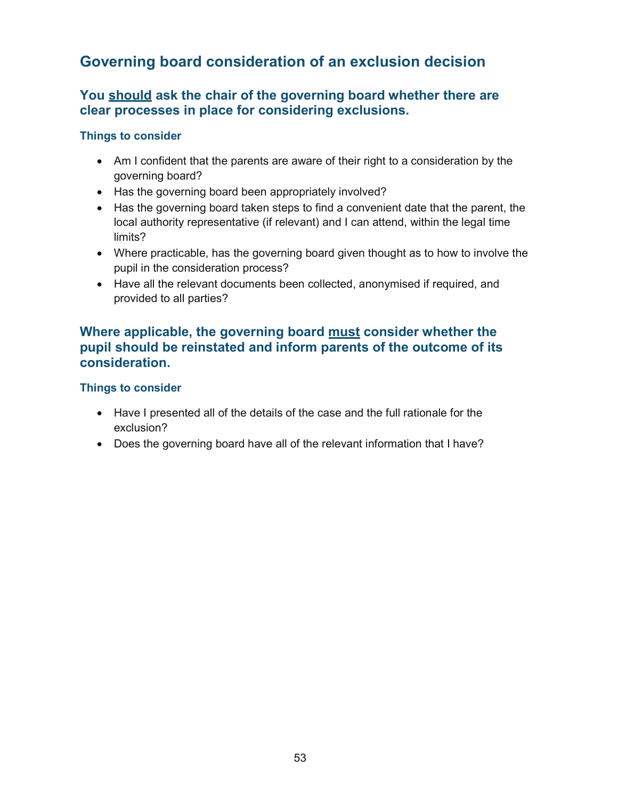## Governing board consideration of an exclusion decision

## You should ask the chair of the governing board whether there are clear processes in place for considering exclusions.

#### Things to consider

- Am I confident that the parents are aware of their right to a consideration by the governing board?
- Has the governing board been appropriately involved?
- Has the governing board taken steps to find a convenient date that the parent, the local authority representative (if relevant) and I can attend, within the legal time limits?
- Where practicable, has the governing board given thought as to how to involve the pupil in the consideration process?
- Have all the relevant documents been collected, anonymised if required, and provided to all parties?

### Where applicable, the governing board must consider whether the pupil should be reinstated and inform parents of the outcome of its consideration.

- Have I presented all of the details of the case and the full rationale for the exclusion?
- Does the governing board have all of the relevant information that I have?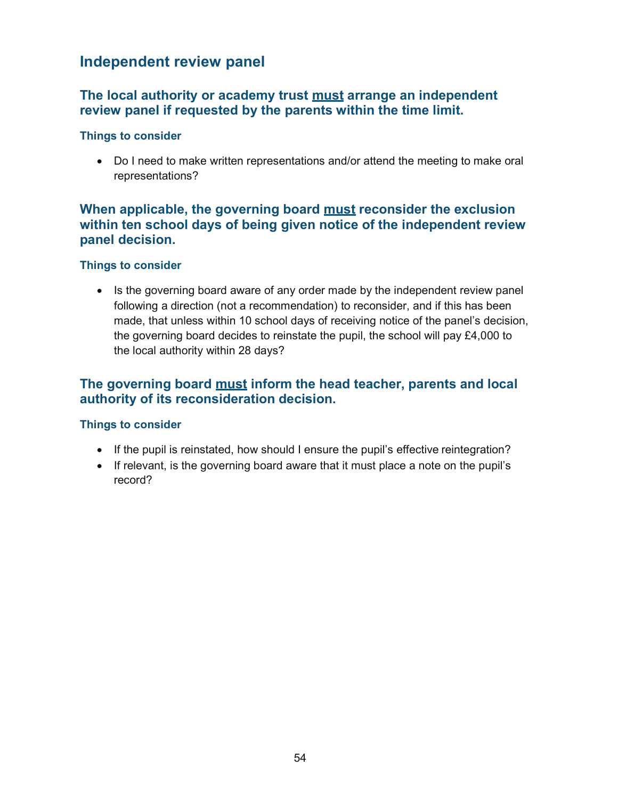## Independent review panel

### The local authority or academy trust must arrange an independent review panel if requested by the parents within the time limit.

#### Things to consider

 Do I need to make written representations and/or attend the meeting to make oral representations?

### When applicable, the governing board must reconsider the exclusion within ten school days of being given notice of the independent review panel decision.

#### Things to consider

• Is the governing board aware of any order made by the independent review panel following a direction (not a recommendation) to reconsider, and if this has been made, that unless within 10 school days of receiving notice of the panel's decision, the governing board decides to reinstate the pupil, the school will pay £4,000 to the local authority within 28 days?

## The governing board must inform the head teacher, parents and local authority of its reconsideration decision.

- If the pupil is reinstated, how should I ensure the pupil's effective reintegration?
- If relevant, is the governing board aware that it must place a note on the pupil's record?